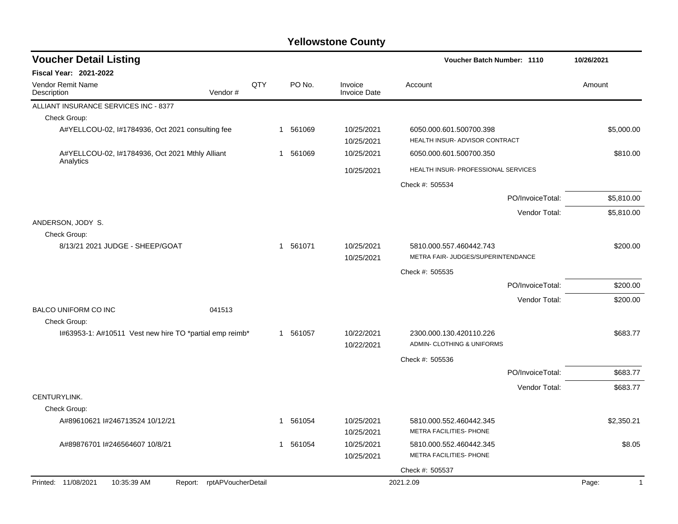| <b>Voucher Detail Listing</b>                                    |     |                          |                                | <b>Voucher Batch Number: 1110</b>                             | 10/26/2021  |
|------------------------------------------------------------------|-----|--------------------------|--------------------------------|---------------------------------------------------------------|-------------|
| Fiscal Year: 2021-2022                                           |     |                          |                                |                                                               |             |
| Vendor Remit Name<br>Description<br>Vendor#                      | QTY | PO No.                   | Invoice<br><b>Invoice Date</b> | Account                                                       | Amount      |
| ALLIANT INSURANCE SERVICES INC - 8377                            |     |                          |                                |                                                               |             |
| Check Group:                                                     |     |                          |                                |                                                               |             |
| A#YELLCOU-02, 1#1784936, Oct 2021 consulting fee                 |     | 1 561069                 | 10/25/2021<br>10/25/2021       | 6050.000.601.500700.398<br>HEALTH INSUR- ADVISOR CONTRACT     | \$5,000.00  |
| A#YELLCOU-02, I#1784936, Oct 2021 Mthly Alliant<br>Analytics     |     | 1 561069                 | 10/25/2021                     | 6050.000.601.500700.350                                       | \$810.00    |
|                                                                  |     |                          | 10/25/2021                     | HEALTH INSUR- PROFESSIONAL SERVICES                           |             |
|                                                                  |     |                          |                                | Check #: 505534                                               |             |
|                                                                  |     |                          |                                | PO/InvoiceTotal:                                              | \$5,810.00  |
|                                                                  |     |                          |                                | Vendor Total:                                                 | \$5,810.00  |
| ANDERSON, JODY S.                                                |     |                          |                                |                                                               |             |
| Check Group:                                                     |     |                          |                                |                                                               |             |
| 8/13/21 2021 JUDGE - SHEEP/GOAT                                  |     | 1 561071                 | 10/25/2021<br>10/25/2021       | 5810.000.557.460442.743<br>METRA FAIR- JUDGES/SUPERINTENDANCE | \$200.00    |
|                                                                  |     |                          |                                | Check #: 505535                                               |             |
|                                                                  |     |                          |                                | PO/InvoiceTotal:                                              | \$200.00    |
|                                                                  |     |                          |                                | Vendor Total:                                                 | \$200.00    |
| <b>BALCO UNIFORM CO INC</b><br>041513                            |     |                          |                                |                                                               |             |
| Check Group:                                                     |     |                          |                                |                                                               |             |
| l#63953-1: A#10511 Vest new hire TO *partial emp reimb*          |     | 1 561057                 | 10/22/2021<br>10/22/2021       | 2300.000.130.420110.226<br>ADMIN- CLOTHING & UNIFORMS         | \$683.77    |
|                                                                  |     |                          |                                | Check #: 505536                                               |             |
|                                                                  |     |                          |                                | PO/InvoiceTotal:                                              | \$683.77    |
|                                                                  |     |                          |                                | Vendor Total:                                                 | \$683.77    |
| CENTURYLINK.                                                     |     |                          |                                |                                                               |             |
| Check Group:                                                     |     |                          |                                |                                                               |             |
| A#89610621 l#246713524 10/12/21                                  |     | 1 561054                 | 10/25/2021<br>10/25/2021       | 5810.000.552.460442.345<br>METRA FACILITIES- PHONE            | \$2,350.21  |
| A#89876701 I#246564607 10/8/21                                   |     | 561054<br>$\overline{1}$ | 10/25/2021                     | 5810.000.552.460442.345                                       | \$8.05      |
|                                                                  |     |                          | 10/25/2021                     | METRA FACILITIES- PHONE                                       |             |
|                                                                  |     |                          |                                | Check #: 505537                                               |             |
| Printed: 11/08/2021<br>10:35:39 AM<br>Report: rptAPVoucherDetail |     |                          |                                | 2021.2.09                                                     | Page:<br>-1 |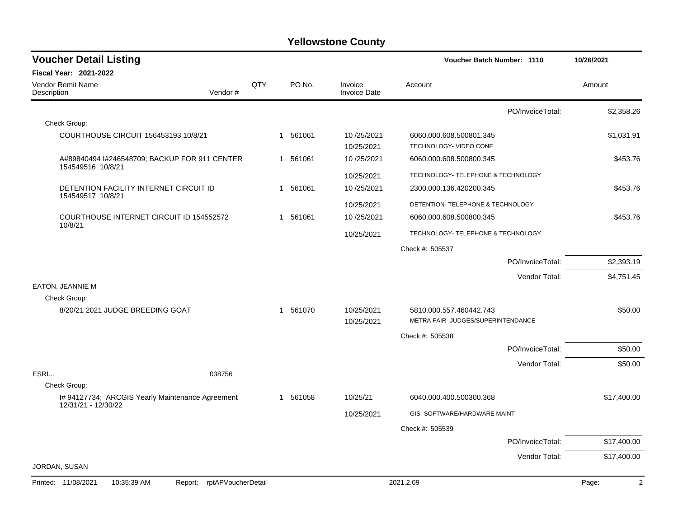| <b>Voucher Detail Listing</b>                                      |     |          |                                | Voucher Batch Number: 1110                        |                  | 10/26/2021              |
|--------------------------------------------------------------------|-----|----------|--------------------------------|---------------------------------------------------|------------------|-------------------------|
| Fiscal Year: 2021-2022                                             |     |          |                                |                                                   |                  |                         |
| Vendor Remit Name<br>Description<br>Vendor#                        | QTY | PO No.   | Invoice<br><b>Invoice Date</b> | Account                                           |                  | Amount                  |
|                                                                    |     |          |                                |                                                   | PO/InvoiceTotal: | \$2,358.26              |
| Check Group:                                                       |     |          |                                |                                                   |                  |                         |
| COURTHOUSE CIRCUIT 156453193 10/8/21                               |     | 1 561061 | 10/25/2021<br>10/25/2021       | 6060.000.608.500801.345<br>TECHNOLOGY- VIDEO CONF |                  | \$1,031.91              |
| A#89840494 I#246548709; BACKUP FOR 911 CENTER<br>154549516 10/8/21 |     | 1 561061 | 10/25/2021                     | 6060.000.608.500800.345                           |                  | \$453.76                |
|                                                                    |     |          | 10/25/2021                     | TECHNOLOGY- TELEPHONE & TECHNOLOGY                |                  |                         |
| DETENTION FACILITY INTERNET CIRCUIT ID<br>154549517 10/8/21        |     | 1 561061 | 10/25/2021                     | 2300.000.136.420200.345                           |                  | \$453.76                |
|                                                                    |     |          | 10/25/2021                     | DETENTION- TELEPHONE & TECHNOLOGY                 |                  |                         |
| COURTHOUSE INTERNET CIRCUIT ID 154552572<br>10/8/21                |     | 1 561061 | 10/25/2021                     | 6060.000.608.500800.345                           |                  | \$453.76                |
|                                                                    |     |          | 10/25/2021                     | TECHNOLOGY- TELEPHONE & TECHNOLOGY                |                  |                         |
|                                                                    |     |          |                                | Check #: 505537                                   |                  |                         |
|                                                                    |     |          |                                |                                                   | PO/InvoiceTotal: | \$2,393.19              |
|                                                                    |     |          |                                |                                                   | Vendor Total:    | \$4,751.45              |
| EATON, JEANNIE M<br>Check Group:                                   |     |          |                                |                                                   |                  |                         |
| 8/20/21 2021 JUDGE BREEDING GOAT                                   |     | 1 561070 | 10/25/2021                     | 5810.000.557.460442.743                           |                  | \$50.00                 |
|                                                                    |     |          | 10/25/2021                     | METRA FAIR- JUDGES/SUPERINTENDANCE                |                  |                         |
|                                                                    |     |          |                                | Check #: 505538                                   |                  |                         |
|                                                                    |     |          |                                |                                                   | PO/InvoiceTotal: | \$50.00                 |
|                                                                    |     |          |                                |                                                   | Vendor Total:    | \$50.00                 |
| ESRI<br>038756                                                     |     |          |                                |                                                   |                  |                         |
| Check Group:<br>I# 94127734; ARCGIS Yearly Maintenance Agreement   |     | 1 561058 | 10/25/21                       | 6040.000.400.500300.368                           |                  | \$17,400.00             |
| 12/31/21 - 12/30/22                                                |     |          | 10/25/2021                     | GIS- SOFTWARE/HARDWARE MAINT                      |                  |                         |
|                                                                    |     |          |                                | Check #: 505539                                   |                  |                         |
|                                                                    |     |          |                                |                                                   | PO/InvoiceTotal: | \$17,400.00             |
|                                                                    |     |          |                                |                                                   | Vendor Total:    | \$17,400.00             |
| JORDAN, SUSAN                                                      |     |          |                                |                                                   |                  |                         |
| Report: rptAPVoucherDetail<br>Printed: 11/08/2021<br>10:35:39 AM   |     |          |                                | 2021.2.09                                         |                  | $\overline{2}$<br>Page: |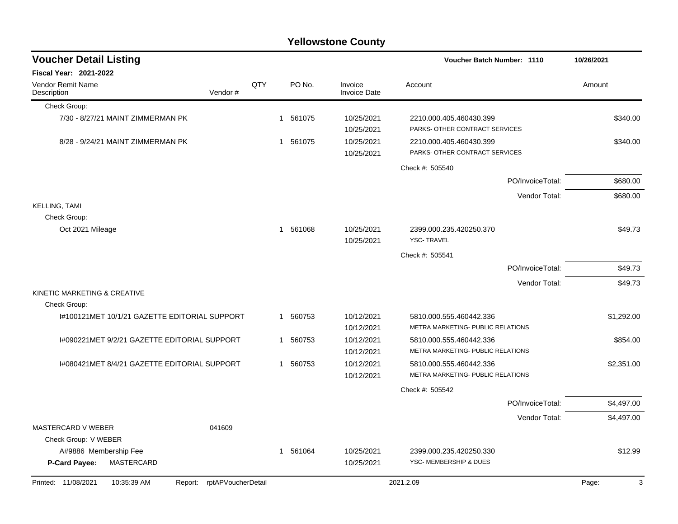| Voucher Batch Number: 1110<br>10/26/2021<br>QTY<br>PO No.<br>Invoice<br>Account<br>Amount<br>Vendor#<br><b>Invoice Date</b><br>Check Group:<br>7/30 - 8/27/21 MAINT ZIMMERMAN PK<br>561075<br>10/25/2021<br>\$340.00<br>2210.000.405.460430.399<br>1<br>PARKS- OTHER CONTRACT SERVICES<br>10/25/2021<br>8/28 - 9/24/21 MAINT ZIMMERMAN PK<br>561075<br>10/25/2021<br>2210.000.405.460430.399<br>\$340.00<br>1<br>PARKS- OTHER CONTRACT SERVICES<br>10/25/2021<br>Check #: 505540<br>PO/InvoiceTotal:<br>\$680.00<br>Vendor Total:<br>\$680.00<br>Check Group:<br>10/25/2021<br>Oct 2021 Mileage<br>1 561068<br>2399.000.235.420250.370<br>\$49.73<br><b>YSC-TRAVEL</b><br>10/25/2021<br>Check #: 505541<br>PO/InvoiceTotal:<br>\$49.73<br>Vendor Total:<br>\$49.73<br>Check Group:<br>I#100121MET 10/1/21 GAZETTE EDITORIAL SUPPORT<br>10/12/2021<br>1 560753<br>5810.000.555.460442.336<br>\$1,292.00<br>METRA MARKETING- PUBLIC RELATIONS<br>10/12/2021<br>I#090221MET 9/2/21 GAZETTE EDITORIAL SUPPORT<br>1 560753<br>10/12/2021<br>\$854.00<br>5810.000.555.460442.336<br>METRA MARKETING- PUBLIC RELATIONS<br>10/12/2021<br>560753<br>10/12/2021<br>I#080421MET 8/4/21 GAZETTE EDITORIAL SUPPORT<br>5810.000.555.460442.336<br>\$2,351.00<br>1.<br>METRA MARKETING- PUBLIC RELATIONS<br>10/12/2021<br>Check #: 505542<br>PO/InvoiceTotal:<br>\$4,497.00<br>Vendor Total:<br>041609<br>MASTERCARD V WEBER<br>Check Group: V WEBER<br>1 561064<br>A#9886 Membership Fee<br>10/25/2021<br>2399.000.235.420250.330 |                                         |  | <b>Yellowstone County</b> |  |  |
|---------------------------------------------------------------------------------------------------------------------------------------------------------------------------------------------------------------------------------------------------------------------------------------------------------------------------------------------------------------------------------------------------------------------------------------------------------------------------------------------------------------------------------------------------------------------------------------------------------------------------------------------------------------------------------------------------------------------------------------------------------------------------------------------------------------------------------------------------------------------------------------------------------------------------------------------------------------------------------------------------------------------------------------------------------------------------------------------------------------------------------------------------------------------------------------------------------------------------------------------------------------------------------------------------------------------------------------------------------------------------------------------------------------------------------------------------------------------------------------------------------------------|-----------------------------------------|--|---------------------------|--|--|
| \$4,497.00<br>\$12.99                                                                                                                                                                                                                                                                                                                                                                                                                                                                                                                                                                                                                                                                                                                                                                                                                                                                                                                                                                                                                                                                                                                                                                                                                                                                                                                                                                                                                                                                                               | <b>Voucher Detail Listing</b>           |  |                           |  |  |
|                                                                                                                                                                                                                                                                                                                                                                                                                                                                                                                                                                                                                                                                                                                                                                                                                                                                                                                                                                                                                                                                                                                                                                                                                                                                                                                                                                                                                                                                                                                     | <b>Fiscal Year: 2021-2022</b>           |  |                           |  |  |
|                                                                                                                                                                                                                                                                                                                                                                                                                                                                                                                                                                                                                                                                                                                                                                                                                                                                                                                                                                                                                                                                                                                                                                                                                                                                                                                                                                                                                                                                                                                     | <b>Vendor Remit Name</b><br>Description |  |                           |  |  |
|                                                                                                                                                                                                                                                                                                                                                                                                                                                                                                                                                                                                                                                                                                                                                                                                                                                                                                                                                                                                                                                                                                                                                                                                                                                                                                                                                                                                                                                                                                                     |                                         |  |                           |  |  |
|                                                                                                                                                                                                                                                                                                                                                                                                                                                                                                                                                                                                                                                                                                                                                                                                                                                                                                                                                                                                                                                                                                                                                                                                                                                                                                                                                                                                                                                                                                                     |                                         |  |                           |  |  |
|                                                                                                                                                                                                                                                                                                                                                                                                                                                                                                                                                                                                                                                                                                                                                                                                                                                                                                                                                                                                                                                                                                                                                                                                                                                                                                                                                                                                                                                                                                                     |                                         |  |                           |  |  |
|                                                                                                                                                                                                                                                                                                                                                                                                                                                                                                                                                                                                                                                                                                                                                                                                                                                                                                                                                                                                                                                                                                                                                                                                                                                                                                                                                                                                                                                                                                                     |                                         |  |                           |  |  |
|                                                                                                                                                                                                                                                                                                                                                                                                                                                                                                                                                                                                                                                                                                                                                                                                                                                                                                                                                                                                                                                                                                                                                                                                                                                                                                                                                                                                                                                                                                                     |                                         |  |                           |  |  |
|                                                                                                                                                                                                                                                                                                                                                                                                                                                                                                                                                                                                                                                                                                                                                                                                                                                                                                                                                                                                                                                                                                                                                                                                                                                                                                                                                                                                                                                                                                                     |                                         |  |                           |  |  |
|                                                                                                                                                                                                                                                                                                                                                                                                                                                                                                                                                                                                                                                                                                                                                                                                                                                                                                                                                                                                                                                                                                                                                                                                                                                                                                                                                                                                                                                                                                                     | <b>KELLING, TAMI</b>                    |  |                           |  |  |
|                                                                                                                                                                                                                                                                                                                                                                                                                                                                                                                                                                                                                                                                                                                                                                                                                                                                                                                                                                                                                                                                                                                                                                                                                                                                                                                                                                                                                                                                                                                     |                                         |  |                           |  |  |
|                                                                                                                                                                                                                                                                                                                                                                                                                                                                                                                                                                                                                                                                                                                                                                                                                                                                                                                                                                                                                                                                                                                                                                                                                                                                                                                                                                                                                                                                                                                     |                                         |  |                           |  |  |
|                                                                                                                                                                                                                                                                                                                                                                                                                                                                                                                                                                                                                                                                                                                                                                                                                                                                                                                                                                                                                                                                                                                                                                                                                                                                                                                                                                                                                                                                                                                     |                                         |  |                           |  |  |
|                                                                                                                                                                                                                                                                                                                                                                                                                                                                                                                                                                                                                                                                                                                                                                                                                                                                                                                                                                                                                                                                                                                                                                                                                                                                                                                                                                                                                                                                                                                     |                                         |  |                           |  |  |
|                                                                                                                                                                                                                                                                                                                                                                                                                                                                                                                                                                                                                                                                                                                                                                                                                                                                                                                                                                                                                                                                                                                                                                                                                                                                                                                                                                                                                                                                                                                     |                                         |  |                           |  |  |
|                                                                                                                                                                                                                                                                                                                                                                                                                                                                                                                                                                                                                                                                                                                                                                                                                                                                                                                                                                                                                                                                                                                                                                                                                                                                                                                                                                                                                                                                                                                     | KINETIC MARKETING & CREATIVE            |  |                           |  |  |
|                                                                                                                                                                                                                                                                                                                                                                                                                                                                                                                                                                                                                                                                                                                                                                                                                                                                                                                                                                                                                                                                                                                                                                                                                                                                                                                                                                                                                                                                                                                     |                                         |  |                           |  |  |
|                                                                                                                                                                                                                                                                                                                                                                                                                                                                                                                                                                                                                                                                                                                                                                                                                                                                                                                                                                                                                                                                                                                                                                                                                                                                                                                                                                                                                                                                                                                     |                                         |  |                           |  |  |
|                                                                                                                                                                                                                                                                                                                                                                                                                                                                                                                                                                                                                                                                                                                                                                                                                                                                                                                                                                                                                                                                                                                                                                                                                                                                                                                                                                                                                                                                                                                     |                                         |  |                           |  |  |
|                                                                                                                                                                                                                                                                                                                                                                                                                                                                                                                                                                                                                                                                                                                                                                                                                                                                                                                                                                                                                                                                                                                                                                                                                                                                                                                                                                                                                                                                                                                     |                                         |  |                           |  |  |
|                                                                                                                                                                                                                                                                                                                                                                                                                                                                                                                                                                                                                                                                                                                                                                                                                                                                                                                                                                                                                                                                                                                                                                                                                                                                                                                                                                                                                                                                                                                     |                                         |  |                           |  |  |
|                                                                                                                                                                                                                                                                                                                                                                                                                                                                                                                                                                                                                                                                                                                                                                                                                                                                                                                                                                                                                                                                                                                                                                                                                                                                                                                                                                                                                                                                                                                     |                                         |  |                           |  |  |
|                                                                                                                                                                                                                                                                                                                                                                                                                                                                                                                                                                                                                                                                                                                                                                                                                                                                                                                                                                                                                                                                                                                                                                                                                                                                                                                                                                                                                                                                                                                     |                                         |  |                           |  |  |
|                                                                                                                                                                                                                                                                                                                                                                                                                                                                                                                                                                                                                                                                                                                                                                                                                                                                                                                                                                                                                                                                                                                                                                                                                                                                                                                                                                                                                                                                                                                     |                                         |  |                           |  |  |
|                                                                                                                                                                                                                                                                                                                                                                                                                                                                                                                                                                                                                                                                                                                                                                                                                                                                                                                                                                                                                                                                                                                                                                                                                                                                                                                                                                                                                                                                                                                     |                                         |  |                           |  |  |
|                                                                                                                                                                                                                                                                                                                                                                                                                                                                                                                                                                                                                                                                                                                                                                                                                                                                                                                                                                                                                                                                                                                                                                                                                                                                                                                                                                                                                                                                                                                     |                                         |  |                           |  |  |
| MASTERCARD<br>YSC- MEMBERSHIP & DUES<br>P-Card Payee:<br>10/25/2021                                                                                                                                                                                                                                                                                                                                                                                                                                                                                                                                                                                                                                                                                                                                                                                                                                                                                                                                                                                                                                                                                                                                                                                                                                                                                                                                                                                                                                                 |                                         |  |                           |  |  |
| 10:35:39 AM<br>Report: rptAPVoucherDetail<br>2021.2.09<br>3<br>Page:                                                                                                                                                                                                                                                                                                                                                                                                                                                                                                                                                                                                                                                                                                                                                                                                                                                                                                                                                                                                                                                                                                                                                                                                                                                                                                                                                                                                                                                | Printed: 11/08/2021                     |  |                           |  |  |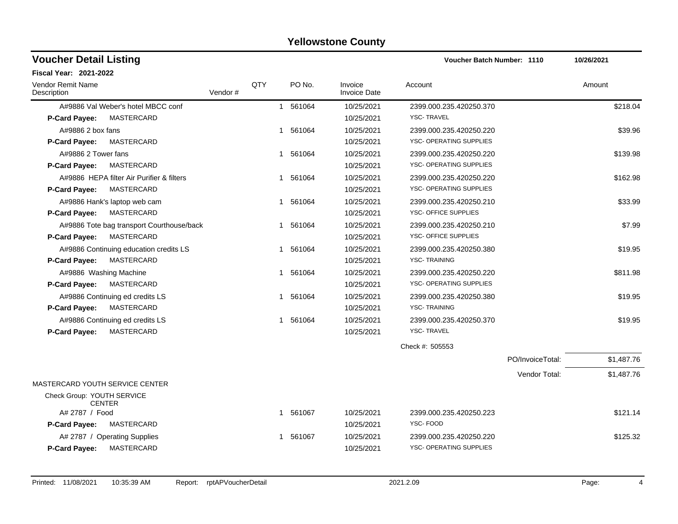| <b>Voucher Detail Listing</b>               |         |     |             |                                | <b>Voucher Batch Number: 1110</b> |                  | 10/26/2021 |
|---------------------------------------------|---------|-----|-------------|--------------------------------|-----------------------------------|------------------|------------|
| <b>Fiscal Year: 2021-2022</b>               |         |     |             |                                |                                   |                  |            |
| Vendor Remit Name<br>Description            | Vendor# | QTY | PO No.      | Invoice<br><b>Invoice Date</b> | Account                           |                  | Amount     |
| A#9886 Val Weber's hotel MBCC conf          |         |     | 1 561064    | 10/25/2021                     | 2399.000.235.420250.370           |                  | \$218.04   |
| MASTERCARD<br>P-Card Payee:                 |         |     |             | 10/25/2021                     | <b>YSC-TRAVEL</b>                 |                  |            |
| A#9886 2 box fans                           |         |     | 561064<br>1 | 10/25/2021                     | 2399.000.235.420250.220           |                  | \$39.96    |
| MASTERCARD<br>P-Card Payee:                 |         |     |             | 10/25/2021                     | YSC- OPERATING SUPPLIES           |                  |            |
| A#9886 2 Tower fans                         |         |     | 1 561064    | 10/25/2021                     | 2399.000.235.420250.220           |                  | \$139.98   |
| MASTERCARD<br><b>P-Card Payee:</b>          |         |     |             | 10/25/2021                     | YSC- OPERATING SUPPLIES           |                  |            |
| A#9886 HEPA filter Air Purifier & filters   |         |     | 1 561064    | 10/25/2021                     | 2399.000.235.420250.220           |                  | \$162.98   |
| <b>MASTERCARD</b><br><b>P-Card Payee:</b>   |         |     |             | 10/25/2021                     | YSC- OPERATING SUPPLIES           |                  |            |
| A#9886 Hank's laptop web cam                |         |     | 1 561064    | 10/25/2021                     | 2399.000.235.420250.210           |                  | \$33.99    |
| MASTERCARD<br><b>P-Card Payee:</b>          |         |     |             | 10/25/2021                     | YSC- OFFICE SUPPLIES              |                  |            |
| A#9886 Tote bag transport Courthouse/back   |         |     | 1 561064    | 10/25/2021                     | 2399.000.235.420250.210           |                  | \$7.99     |
| <b>MASTERCARD</b><br>P-Card Payee:          |         |     |             | 10/25/2021                     | YSC- OFFICE SUPPLIES              |                  |            |
| A#9886 Continuing education credits LS      |         |     | 561064<br>1 | 10/25/2021                     | 2399.000.235.420250.380           |                  | \$19.95    |
| MASTERCARD<br><b>P-Card Payee:</b>          |         |     |             | 10/25/2021                     | <b>YSC-TRAINING</b>               |                  |            |
| A#9886 Washing Machine                      |         |     | 1 561064    | 10/25/2021                     | 2399.000.235.420250.220           |                  | \$811.98   |
| <b>MASTERCARD</b><br><b>P-Card Payee:</b>   |         |     |             | 10/25/2021                     | YSC- OPERATING SUPPLIES           |                  |            |
| A#9886 Continuing ed credits LS             |         |     | 561064<br>1 | 10/25/2021                     | 2399.000.235.420250.380           |                  | \$19.95    |
| <b>MASTERCARD</b><br>P-Card Payee:          |         |     |             | 10/25/2021                     | <b>YSC-TRAINING</b>               |                  |            |
| A#9886 Continuing ed credits LS             |         |     | 561064<br>1 | 10/25/2021                     | 2399.000.235.420250.370           |                  | \$19.95    |
| P-Card Payee:<br>MASTERCARD                 |         |     |             | 10/25/2021                     | <b>YSC-TRAVEL</b>                 |                  |            |
|                                             |         |     |             |                                | Check #: 505553                   |                  |            |
|                                             |         |     |             |                                |                                   | PO/InvoiceTotal: | \$1,487.76 |
|                                             |         |     |             |                                |                                   | Vendor Total:    | \$1,487.76 |
| MASTERCARD YOUTH SERVICE CENTER             |         |     |             |                                |                                   |                  |            |
| Check Group: YOUTH SERVICE<br><b>CENTER</b> |         |     |             |                                |                                   |                  |            |
| A# 2787 / Food                              |         |     | 561067<br>1 | 10/25/2021                     | 2399.000.235.420250.223           |                  | \$121.14   |
| P-Card Payee:<br>MASTERCARD                 |         |     |             | 10/25/2021                     | YSC-FOOD                          |                  |            |
| A# 2787 / Operating Supplies                |         |     | 1 561067    | 10/25/2021                     | 2399.000.235.420250.220           |                  | \$125.32   |
| <b>MASTERCARD</b><br>P-Card Payee:          |         |     |             | 10/25/2021                     | <b>YSC- OPERATING SUPPLIES</b>    |                  |            |
|                                             |         |     |             |                                |                                   |                  |            |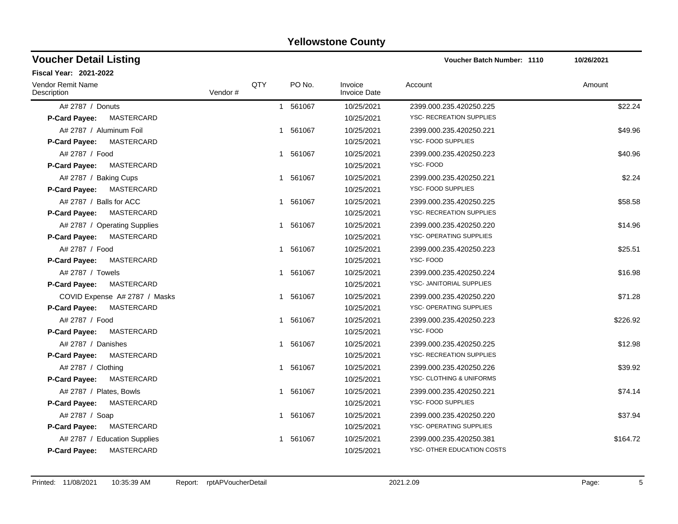| <b>Voucher Detail Listing</b>           |         |     |                        |                                | Voucher Batch Number: 1110      | 10/26/2021 |
|-----------------------------------------|---------|-----|------------------------|--------------------------------|---------------------------------|------------|
| <b>Fiscal Year: 2021-2022</b>           |         |     |                        |                                |                                 |            |
| <b>Vendor Remit Name</b><br>Description | Vendor# | QTY | PO No.                 | Invoice<br><b>Invoice Date</b> | Account                         | Amount     |
| A# 2787 / Donuts                        |         |     | 561067<br>$\mathbf{1}$ | 10/25/2021                     | 2399.000.235.420250.225         | \$22.24    |
| MASTERCARD<br><b>P-Card Payee:</b>      |         |     |                        | 10/25/2021                     | <b>YSC- RECREATION SUPPLIES</b> |            |
| A# 2787 / Aluminum Foil                 |         |     | 561067<br>$\mathbf{1}$ | 10/25/2021                     | 2399.000.235.420250.221         | \$49.96    |
| MASTERCARD<br><b>P-Card Payee:</b>      |         |     |                        | 10/25/2021                     | YSC- FOOD SUPPLIES              |            |
| A# 2787 / Food                          |         |     | 1 561067               | 10/25/2021                     | 2399.000.235.420250.223         | \$40.96    |
| <b>MASTERCARD</b><br>P-Card Payee:      |         |     |                        | 10/25/2021                     | YSC-FOOD                        |            |
| A# 2787 / Baking Cups                   |         |     | 1 561067               | 10/25/2021                     | 2399.000.235.420250.221         | \$2.24     |
| P-Card Payee:<br>MASTERCARD             |         |     |                        | 10/25/2021                     | YSC- FOOD SUPPLIES              |            |
| A# 2787 / Balls for ACC                 |         |     | 561067                 | 10/25/2021                     | 2399.000.235.420250.225         | \$58.58    |
| MASTERCARD<br><b>P-Card Payee:</b>      |         |     |                        | 10/25/2021                     | YSC- RECREATION SUPPLIES        |            |
| A# 2787 / Operating Supplies            |         |     | 561067<br>1            | 10/25/2021                     | 2399.000.235.420250.220         | \$14.96    |
| P-Card Payee:<br>MASTERCARD             |         |     |                        | 10/25/2021                     | YSC- OPERATING SUPPLIES         |            |
| A# 2787 / Food                          |         |     | 1 561067               | 10/25/2021                     | 2399.000.235.420250.223         | \$25.51    |
| MASTERCARD<br>P-Card Payee:             |         |     |                        | 10/25/2021                     | YSC-FOOD                        |            |
| A# 2787 / Towels                        |         |     | 1 561067               | 10/25/2021                     | 2399.000.235.420250.224         | \$16.98    |
| MASTERCARD<br><b>P-Card Payee:</b>      |         |     |                        | 10/25/2021                     | YSC- JANITORIAL SUPPLIES        |            |
| COVID Expense A# 2787 / Masks           |         |     | 561067<br>1            | 10/25/2021                     | 2399.000.235.420250.220         | \$71.28    |
| MASTERCARD<br><b>P-Card Payee:</b>      |         |     |                        | 10/25/2021                     | YSC- OPERATING SUPPLIES         |            |
| A# 2787 / Food                          |         |     | 561067<br>1            | 10/25/2021                     | 2399.000.235.420250.223         | \$226.92   |
| P-Card Payee:<br>MASTERCARD             |         |     |                        | 10/25/2021                     | YSC-FOOD                        |            |
| A# 2787 / Danishes                      |         |     | 561067<br>$\mathbf{1}$ | 10/25/2021                     | 2399.000.235.420250.225         | \$12.98    |
| MASTERCARD<br>P-Card Payee:             |         |     |                        | 10/25/2021                     | YSC- RECREATION SUPPLIES        |            |
| A# 2787 / Clothing                      |         |     | 561067<br>$\mathbf{1}$ | 10/25/2021                     | 2399.000.235.420250.226         | \$39.92    |
| P-Card Payee:<br>MASTERCARD             |         |     |                        | 10/25/2021                     | YSC- CLOTHING & UNIFORMS        |            |
| A# 2787 / Plates, Bowls                 |         |     | 1 561067               | 10/25/2021                     | 2399.000.235.420250.221         | \$74.14    |
| MASTERCARD<br>P-Card Payee:             |         |     |                        | 10/25/2021                     | YSC- FOOD SUPPLIES              |            |
| A# 2787 / Soap                          |         |     | 1 561067               | 10/25/2021                     | 2399.000.235.420250.220         | \$37.94    |
| MASTERCARD<br>P-Card Payee:             |         |     |                        | 10/25/2021                     | YSC- OPERATING SUPPLIES         |            |
| A# 2787 / Education Supplies            |         |     | 561067                 | 10/25/2021                     | 2399.000.235.420250.381         | \$164.72   |
| MASTERCARD<br><b>P-Card Payee:</b>      |         |     |                        | 10/25/2021                     | YSC- OTHER EDUCATION COSTS      |            |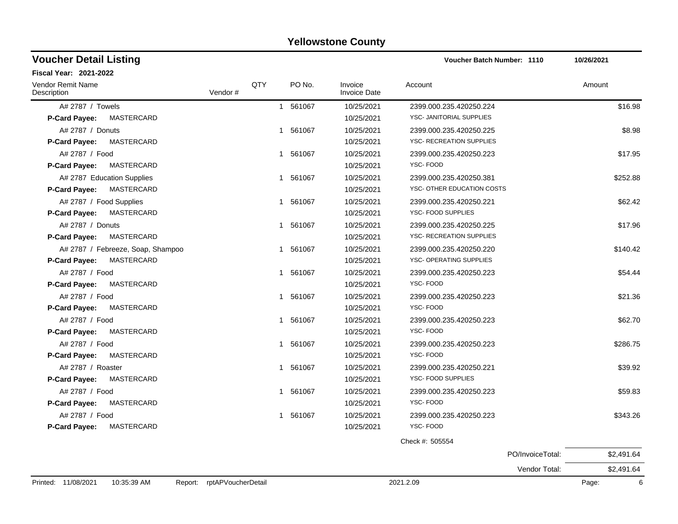| <b>Voucher Detail Listing</b>             |         |     |          |                                | <b>Voucher Batch Number: 1110</b> |                  | 10/26/2021 |
|-------------------------------------------|---------|-----|----------|--------------------------------|-----------------------------------|------------------|------------|
| Fiscal Year: 2021-2022                    |         |     |          |                                |                                   |                  |            |
| Vendor Remit Name<br>Description          | Vendor# | QTY | PO No.   | Invoice<br><b>Invoice Date</b> | Account                           |                  | Amount     |
| A# 2787 / Towels                          |         |     | 1 561067 | 10/25/2021                     | 2399.000.235.420250.224           |                  | \$16.98    |
| <b>P-Card Payee:</b><br>MASTERCARD        |         |     |          | 10/25/2021                     | YSC- JANITORIAL SUPPLIES          |                  |            |
| A# 2787 / Donuts                          |         |     | 1 561067 | 10/25/2021                     | 2399.000.235.420250.225           |                  | \$8.98     |
| <b>P-Card Payee:</b><br>MASTERCARD        |         |     |          | 10/25/2021                     | YSC- RECREATION SUPPLIES          |                  |            |
| A# 2787 / Food                            |         |     | 1 561067 | 10/25/2021                     | 2399.000.235.420250.223           |                  | \$17.95    |
| MASTERCARD<br>P-Card Payee:               |         |     |          | 10/25/2021                     | YSC-FOOD                          |                  |            |
| A# 2787 Education Supplies                |         |     | 1 561067 | 10/25/2021                     | 2399.000.235.420250.381           |                  | \$252.88   |
| MASTERCARD<br>P-Card Payee:               |         |     |          | 10/25/2021                     | YSC- OTHER EDUCATION COSTS        |                  |            |
| A# 2787 / Food Supplies                   |         |     | 1 561067 | 10/25/2021                     | 2399.000.235.420250.221           |                  | \$62.42    |
| P-Card Payee:<br>MASTERCARD               |         |     |          | 10/25/2021                     | YSC- FOOD SUPPLIES                |                  |            |
| A# 2787 / Donuts                          |         |     | 1 561067 | 10/25/2021                     | 2399.000.235.420250.225           |                  | \$17.96    |
| MASTERCARD<br><b>P-Card Payee:</b>        |         |     |          | 10/25/2021                     | YSC- RECREATION SUPPLIES          |                  |            |
| A# 2787 / Febreeze, Soap, Shampoo         |         |     | 1 561067 | 10/25/2021                     | 2399.000.235.420250.220           |                  | \$140.42   |
| <b>MASTERCARD</b><br><b>P-Card Payee:</b> |         |     |          | 10/25/2021                     | YSC- OPERATING SUPPLIES           |                  |            |
| A# 2787 / Food                            |         |     | 1 561067 | 10/25/2021                     | 2399.000.235.420250.223           |                  | \$54.44    |
| MASTERCARD<br>P-Card Payee:               |         |     |          | 10/25/2021                     | YSC-FOOD                          |                  |            |
| A# 2787 / Food                            |         |     | 1 561067 | 10/25/2021                     | 2399.000.235.420250.223           |                  | \$21.36    |
| MASTERCARD<br><b>P-Card Payee:</b>        |         |     |          | 10/25/2021                     | YSC-FOOD                          |                  |            |
| A# 2787 / Food                            |         |     | 1 561067 | 10/25/2021                     | 2399.000.235.420250.223           |                  | \$62.70    |
| <b>P-Card Payee:</b><br>MASTERCARD        |         |     |          | 10/25/2021                     | YSC-FOOD                          |                  |            |
| A# 2787 / Food                            |         |     | 1 561067 | 10/25/2021                     | 2399.000.235.420250.223           |                  | \$286.75   |
| P-Card Payee:<br>MASTERCARD               |         |     |          | 10/25/2021                     | YSC-FOOD                          |                  |            |
| A# 2787 / Roaster                         |         |     | 1 561067 | 10/25/2021                     | 2399.000.235.420250.221           |                  | \$39.92    |
| MASTERCARD<br>P-Card Payee:               |         |     |          | 10/25/2021                     | YSC- FOOD SUPPLIES                |                  |            |
| A# 2787 / Food                            |         |     | 1 561067 | 10/25/2021                     | 2399.000.235.420250.223           |                  | \$59.83    |
| MASTERCARD<br><b>P-Card Payee:</b>        |         |     |          | 10/25/2021                     | YSC-FOOD                          |                  |            |
| A# 2787 / Food                            |         |     | 1 561067 | 10/25/2021                     | 2399.000.235.420250.223           |                  | \$343.26   |
| MASTERCARD<br>P-Card Payee:               |         |     |          | 10/25/2021                     | YSC-FOOD                          |                  |            |
|                                           |         |     |          |                                | Check #: 505554                   |                  |            |
|                                           |         |     |          |                                |                                   | PO/InvoiceTotal: | \$2,491.64 |
|                                           |         |     |          |                                |                                   | Vendor Total:    | \$2,491.64 |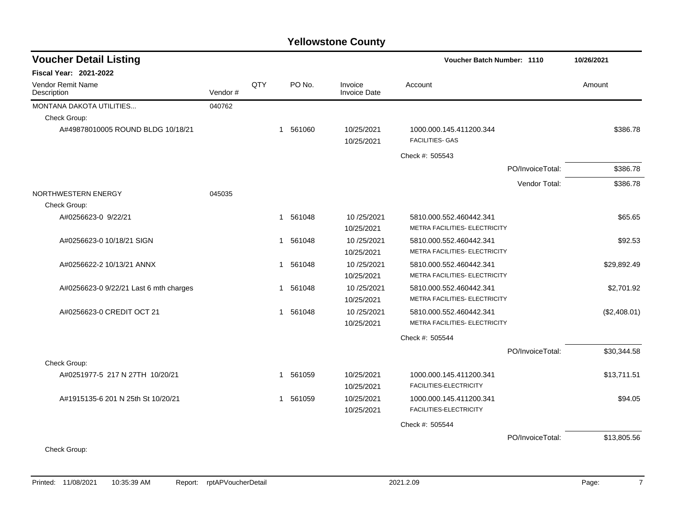| <b>Voucher Detail Listing</b>          |         |     |              |          |                                | <b>Voucher Batch Number: 1110</b>                        |                  | 10/26/2021   |
|----------------------------------------|---------|-----|--------------|----------|--------------------------------|----------------------------------------------------------|------------------|--------------|
| Fiscal Year: 2021-2022                 |         |     |              |          |                                |                                                          |                  |              |
| Vendor Remit Name<br>Description       | Vendor# | QTY |              | PO No.   | Invoice<br><b>Invoice Date</b> | Account                                                  |                  | Amount       |
| MONTANA DAKOTA UTILITIES               | 040762  |     |              |          |                                |                                                          |                  |              |
| Check Group:                           |         |     |              |          |                                |                                                          |                  |              |
| A#49878010005 ROUND BLDG 10/18/21      |         |     |              | 1 561060 | 10/25/2021<br>10/25/2021       | 1000.000.145.411200.344<br><b>FACILITIES- GAS</b>        |                  | \$386.78     |
|                                        |         |     |              |          |                                | Check #: 505543                                          |                  |              |
|                                        |         |     |              |          |                                |                                                          | PO/InvoiceTotal: | \$386.78     |
|                                        |         |     |              |          |                                |                                                          | Vendor Total:    | \$386.78     |
| NORTHWESTERN ENERGY                    | 045035  |     |              |          |                                |                                                          |                  |              |
| Check Group:                           |         |     |              |          |                                |                                                          |                  |              |
| A#0256623-0 9/22/21                    |         |     |              | 1 561048 | 10/25/2021<br>10/25/2021       | 5810.000.552.460442.341<br>METRA FACILITIES- ELECTRICITY |                  | \$65.65      |
| A#0256623-0 10/18/21 SIGN              |         |     | $\mathbf{1}$ | 561048   | 10/25/2021<br>10/25/2021       | 5810.000.552.460442.341<br>METRA FACILITIES- ELECTRICITY |                  | \$92.53      |
| A#0256622-2 10/13/21 ANNX              |         |     |              | 1 561048 | 10/25/2021<br>10/25/2021       | 5810.000.552.460442.341<br>METRA FACILITIES- ELECTRICITY |                  | \$29,892.49  |
| A#0256623-0 9/22/21 Last 6 mth charges |         |     |              | 1 561048 | 10/25/2021<br>10/25/2021       | 5810.000.552.460442.341<br>METRA FACILITIES- ELECTRICITY |                  | \$2,701.92   |
| A#0256623-0 CREDIT OCT 21              |         |     | $\mathbf{1}$ | 561048   | 10/25/2021<br>10/25/2021       | 5810.000.552.460442.341<br>METRA FACILITIES- ELECTRICITY |                  | (\$2,408.01) |
|                                        |         |     |              |          |                                | Check #: 505544                                          |                  |              |
|                                        |         |     |              |          |                                |                                                          | PO/InvoiceTotal: | \$30,344.58  |
| Check Group:                           |         |     |              |          |                                |                                                          |                  |              |
| A#0251977-5 217 N 27TH 10/20/21        |         |     |              | 1 561059 | 10/25/2021<br>10/25/2021       | 1000.000.145.411200.341<br>FACILITIES-ELECTRICITY        |                  | \$13,711.51  |
| A#1915135-6 201 N 25th St 10/20/21     |         |     |              | 1 561059 | 10/25/2021<br>10/25/2021       | 1000.000.145.411200.341<br>FACILITIES-ELECTRICITY        |                  | \$94.05      |
|                                        |         |     |              |          |                                | Check #: 505544                                          |                  |              |
| Check Group:                           |         |     |              |          |                                |                                                          | PO/InvoiceTotal: | \$13,805.56  |
|                                        |         |     |              |          |                                |                                                          |                  |              |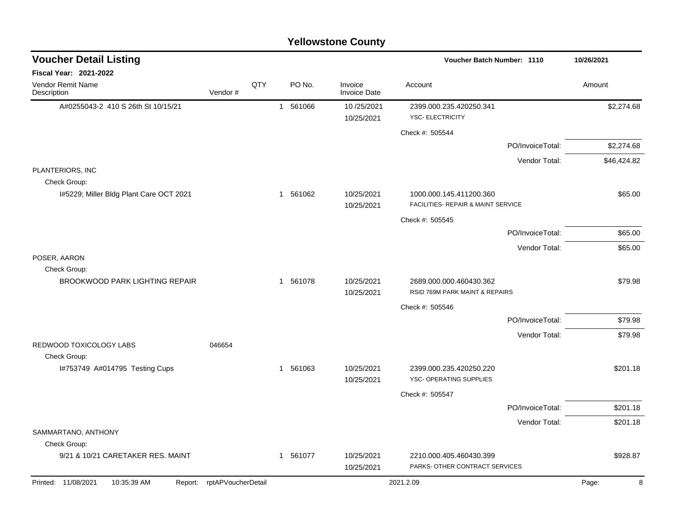|                                                         |                            |     |          | <b>Yellowstone County</b>      |                                                           |                  |             |
|---------------------------------------------------------|----------------------------|-----|----------|--------------------------------|-----------------------------------------------------------|------------------|-------------|
| <b>Voucher Detail Listing</b>                           |                            |     |          |                                | Voucher Batch Number: 1110                                |                  | 10/26/2021  |
| Fiscal Year: 2021-2022                                  |                            |     |          |                                |                                                           |                  |             |
| Vendor Remit Name<br>Description                        | Vendor#                    | QTY | PO No.   | Invoice<br><b>Invoice Date</b> | Account                                                   |                  | Amount      |
| A#0255043-2 410 S 26th St 10/15/21                      |                            |     | 1 561066 | 10/25/2021                     | 2399.000.235.420250.341                                   |                  | \$2,274.68  |
|                                                         |                            |     |          | 10/25/2021                     | <b>YSC- ELECTRICITY</b>                                   |                  |             |
|                                                         |                            |     |          |                                | Check #: 505544                                           |                  |             |
|                                                         |                            |     |          |                                |                                                           | PO/InvoiceTotal: | \$2,274.68  |
|                                                         |                            |     |          |                                |                                                           | Vendor Total:    | \$46,424.82 |
| PLANTERIORS, INC                                        |                            |     |          |                                |                                                           |                  |             |
| Check Group:<br>I#5229; Miller Bldg Plant Care OCT 2021 |                            |     | 1 561062 | 10/25/2021                     | 1000.000.145.411200.360                                   |                  | \$65.00     |
|                                                         |                            |     |          | 10/25/2021                     | FACILITIES- REPAIR & MAINT SERVICE                        |                  |             |
|                                                         |                            |     |          |                                | Check #: 505545                                           |                  |             |
|                                                         |                            |     |          |                                |                                                           | PO/InvoiceTotal: | \$65.00     |
|                                                         |                            |     |          |                                |                                                           | Vendor Total:    | \$65.00     |
| POSER, AARON                                            |                            |     |          |                                |                                                           |                  |             |
| Check Group:                                            |                            |     |          |                                |                                                           |                  |             |
| <b>BROOKWOOD PARK LIGHTING REPAIR</b>                   |                            |     | 1 561078 | 10/25/2021<br>10/25/2021       | 2689.000.000.460430.362<br>RSID 769M PARK MAINT & REPAIRS |                  | \$79.98     |
|                                                         |                            |     |          |                                | Check #: 505546                                           |                  |             |
|                                                         |                            |     |          |                                |                                                           | PO/InvoiceTotal: | \$79.98     |
|                                                         |                            |     |          |                                |                                                           | Vendor Total:    | \$79.98     |
| REDWOOD TOXICOLOGY LABS                                 | 046654                     |     |          |                                |                                                           |                  |             |
| Check Group:                                            |                            |     |          |                                |                                                           |                  |             |
| I#753749 A#014795 Testing Cups                          |                            |     | 1 561063 | 10/25/2021                     | 2399.000.235.420250.220                                   |                  | \$201.18    |
|                                                         |                            |     |          | 10/25/2021                     | YSC- OPERATING SUPPLIES                                   |                  |             |
|                                                         |                            |     |          |                                | Check #: 505547                                           |                  |             |
|                                                         |                            |     |          |                                |                                                           | PO/InvoiceTotal: | \$201.18    |
| SAMMARTANO, ANTHONY                                     |                            |     |          |                                |                                                           | Vendor Total:    | \$201.18    |
| Check Group:                                            |                            |     |          |                                |                                                           |                  |             |
| 9/21 & 10/21 CARETAKER RES. MAINT                       |                            |     | 1 561077 | 10/25/2021                     | 2210.000.405.460430.399                                   |                  | \$928.87    |
|                                                         |                            |     |          | 10/25/2021                     | PARKS- OTHER CONTRACT SERVICES                            |                  |             |
| Printed: 11/08/2021<br>10:35:39 AM                      | Report: rptAPVoucherDetail |     |          |                                | 2021.2.09                                                 |                  | 8<br>Page:  |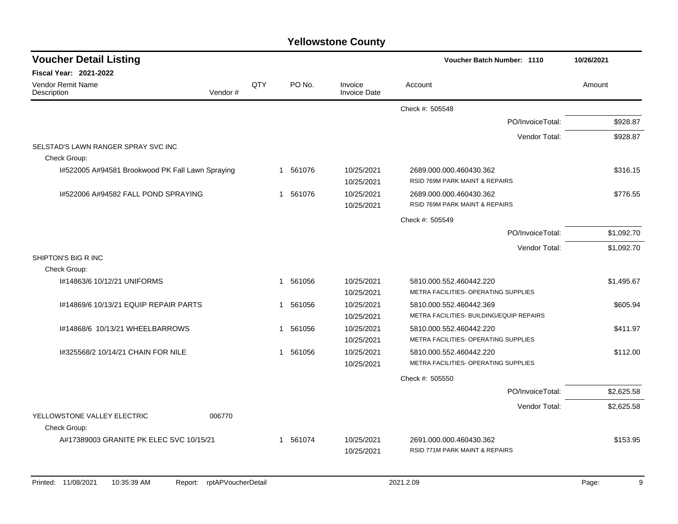| <b>Voucher Detail Listing</b>                       |         |            |                        |                                | Voucher Batch Number: 1110                                          | 10/26/2021 |
|-----------------------------------------------------|---------|------------|------------------------|--------------------------------|---------------------------------------------------------------------|------------|
| <b>Fiscal Year: 2021-2022</b>                       |         |            |                        |                                |                                                                     |            |
| <b>Vendor Remit Name</b><br>Description             | Vendor# | <b>QTY</b> | PO No.                 | Invoice<br><b>Invoice Date</b> | Account                                                             | Amount     |
|                                                     |         |            |                        |                                | Check #: 505548                                                     |            |
|                                                     |         |            |                        |                                | PO/InvoiceTotal:                                                    | \$928.87   |
|                                                     |         |            |                        |                                | Vendor Total:                                                       | \$928.87   |
| SELSTAD'S LAWN RANGER SPRAY SVC INC<br>Check Group: |         |            |                        |                                |                                                                     |            |
| I#522005 A#94581 Brookwood PK Fall Lawn Spraying    |         |            | 1 561076               | 10/25/2021<br>10/25/2021       | 2689.000.000.460430.362<br>RSID 769M PARK MAINT & REPAIRS           | \$316.15   |
| I#522006 A#94582 FALL POND SPRAYING                 |         |            | 1 561076               | 10/25/2021<br>10/25/2021       | 2689.000.000.460430.362<br>RSID 769M PARK MAINT & REPAIRS           | \$776.55   |
|                                                     |         |            |                        |                                | Check #: 505549                                                     |            |
|                                                     |         |            |                        |                                | PO/InvoiceTotal:                                                    | \$1,092.70 |
|                                                     |         |            |                        |                                | Vendor Total:                                                       | \$1,092.70 |
| SHIPTON'S BIG R INC                                 |         |            |                        |                                |                                                                     |            |
| Check Group:                                        |         |            |                        |                                |                                                                     |            |
| I#14863/6 10/12/21 UNIFORMS                         |         |            | 561056<br>$\mathbf{1}$ | 10/25/2021                     | 5810.000.552.460442.220                                             | \$1,495.67 |
|                                                     |         |            |                        | 10/25/2021                     | METRA FACILITIES- OPERATING SUPPLIES                                |            |
| 1#14869/6 10/13/21 EQUIP REPAIR PARTS               |         |            | 1 561056               | 10/25/2021<br>10/25/2021       | 5810.000.552.460442.369<br>METRA FACILITIES- BUILDING/EQUIP REPAIRS | \$605.94   |
| I#14868/6 10/13/21 WHEELBARROWS                     |         |            | 561056<br>-1           | 10/25/2021                     | 5810.000.552.460442.220                                             | \$411.97   |
|                                                     |         |            |                        | 10/25/2021                     | METRA FACILITIES- OPERATING SUPPLIES                                |            |
| 1#325568/2 10/14/21 CHAIN FOR NILE                  |         |            | 1 561056               | 10/25/2021<br>10/25/2021       | 5810.000.552.460442.220<br>METRA FACILITIES- OPERATING SUPPLIES     | \$112.00   |
|                                                     |         |            |                        |                                | Check #: 505550                                                     |            |
|                                                     |         |            |                        |                                | PO/InvoiceTotal:                                                    | \$2,625.58 |
|                                                     |         |            |                        |                                | Vendor Total:                                                       | \$2,625.58 |
| YELLOWSTONE VALLEY ELECTRIC<br>Check Group:         | 006770  |            |                        |                                |                                                                     |            |
| A#17389003 GRANITE PK ELEC SVC 10/15/21             |         |            | 1 561074               | 10/25/2021                     | 2691.000.000.460430.362                                             | \$153.95   |
|                                                     |         |            |                        | 10/25/2021                     | RSID 771M PARK MAINT & REPAIRS                                      |            |